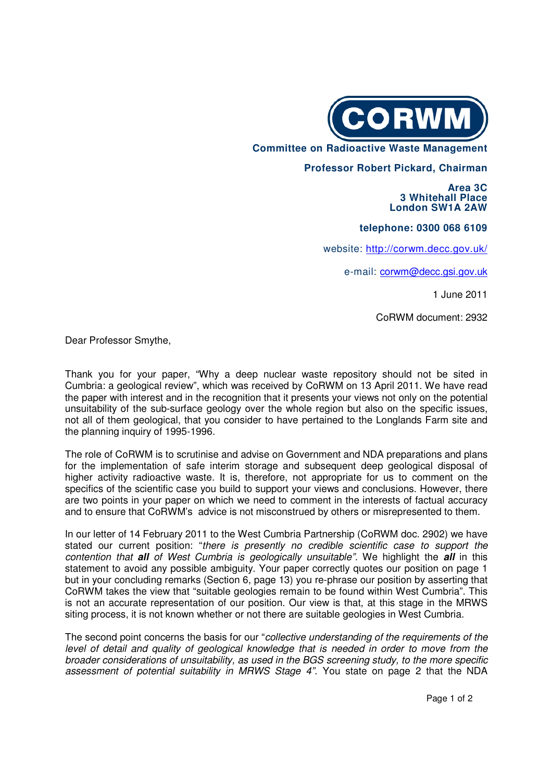

 **Committee on Radioactive Waste Management** 

## **Professor Robert Pickard, Chairman**

 **Area 3C 3 Whitehall Place London SW1A 2AW**

**telephone: 0300 068 6109** 

website: http://corwm.decc.gov.uk/

e-mail: corwm@decc.gsi.gov.uk

1 June 2011

CoRWM document: 2932

Dear Professor Smythe,

Thank you for your paper, "Why a deep nuclear waste repository should not be sited in Cumbria: a geological review", which was received by CoRWM on 13 April 2011. We have read the paper with interest and in the recognition that it presents your views not only on the potential unsuitability of the sub-surface geology over the whole region but also on the specific issues, not all of them geological, that you consider to have pertained to the Longlands Farm site and the planning inquiry of 1995-1996.

The role of CoRWM is to scrutinise and advise on Government and NDA preparations and plans for the implementation of safe interim storage and subsequent deep geological disposal of higher activity radioactive waste. It is, therefore, not appropriate for us to comment on the specifics of the scientific case you build to support your views and conclusions. However, there are two points in your paper on which we need to comment in the interests of factual accuracy and to ensure that CoRWM's advice is not misconstrued by others or misrepresented to them.

In our letter of 14 February 2011 to the West Cumbria Partnership (CoRWM doc. 2902) we have stated our current position: "there is presently no credible scientific case to support the contention that **all** of West Cumbria is geologically unsuitable". We highlight the **all** in this statement to avoid any possible ambiguity. Your paper correctly quotes our position on page 1 but in your concluding remarks (Section 6, page 13) you re-phrase our position by asserting that CoRWM takes the view that "suitable geologies remain to be found within West Cumbria". This is not an accurate representation of our position. Our view is that, at this stage in the MRWS siting process, it is not known whether or not there are suitable geologies in West Cumbria.

The second point concerns the basis for our "collective understanding of the requirements of the level of detail and quality of geological knowledge that is needed in order to move from the broader considerations of unsuitability, as used in the BGS screening study, to the more specific assessment of potential suitability in MRWS Stage 4". You state on page 2 that the NDA